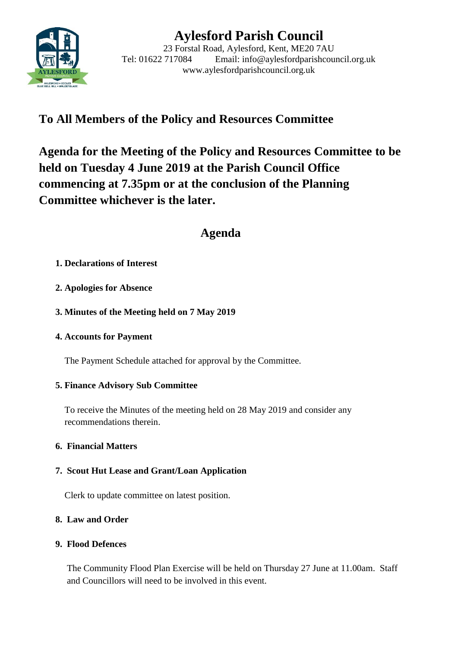

# **Aylesford Parish Council**

23 Forstal Road, Aylesford, Kent, ME20 7AU Tel: 01622 717084 Email: info@aylesfordparishcouncil.org.uk www.aylesfordparishcouncil.org.uk

## **To All Members of the Policy and Resources Committee**

**Agenda for the Meeting of the Policy and Resources Committee to be held on Tuesday 4 June 2019 at the Parish Council Office commencing at 7.35pm or at the conclusion of the Planning Committee whichever is the later.**

## **Agenda**

## **1. Declarations of Interest**

- **2. Apologies for Absence**
- **3. Minutes of the Meeting held on 7 May 2019**

## **4. Accounts for Payment**

The Payment Schedule attached for approval by the Committee.

## **5. Finance Advisory Sub Committee**

To receive the Minutes of the meeting held on 28 May 2019 and consider any recommendations therein.

## **6. Financial Matters**

## **7. Scout Hut Lease and Grant/Loan Application**

Clerk to update committee on latest position.

## **8. Law and Order**

## **9. Flood Defences**

The Community Flood Plan Exercise will be held on Thursday 27 June at 11.00am. Staff and Councillors will need to be involved in this event.